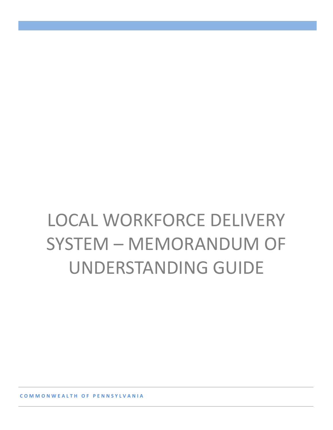# LOCAL WORKFORCE DELIVERY SYSTEM – MEMORANDUM OF UNDERSTANDING GUIDE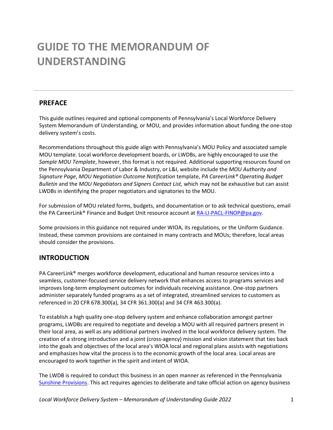# **GUIDE TO THE MEMORANDUM OF UNDERSTANDING**

# **PREFACE**

This guide outlines required and optional components of Pennsylvania's Local Workforce Delivery System Memorandum of Understanding, or MOU, and provides information about funding the one-stop delivery system's costs.

Recommendations throughout this guide align with Pennsylvania's MOU Policy and associated sample MOU template. Local workforce development boards, or LWDBs, are highly encouraged to use the *Sample MOU Template*, however, this format is not required. Additional supporting resources found on the Pennsylvania Department of Labor & Industry, or L&I, website include the *MOU Authority and Signature Page*, *MOU Negotiation Outcome Notification* template, *PA CareerLink® Operating Budget Bulletin* and the *MOU Negotiators and Signers Contact List,* which may not be exhaustive but can assist LWDBs in identifying the proper negotiators and signatories to the MOU.

For submission of MOU related forms, budgets, and documentation or to ask technical questions, email the PA CareerLink® Finance and Budget Unit resource account at [RA-LI-PACL-FINOP@pa.gov.](mailto:RA-LI-PACL-FINOP@pa.gov)

Some provisions in this guidance not required under WIOA, its regulations, or the Uniform Guidance. Instead, these common provisions are contained in many contracts and MOUs; therefore, local areas should consider the provisions.

# **INTRODUCTION**

PA CareerLink® merges workforce development, educational and human resource services into a seamless, customer-focused service delivery network that enhances access to programs services and improves long-term employment outcomes for individuals receiving assistance. One-stop partners administer separately funded programs as a set of integrated, streamlined services to customers as referenced in 20 CFR 678.300(a), 34 CFR 361.300(a) and 34 CFR 463.300(a).

To establish a high quality one-stop delivery system and enhance collaboration amongst partner programs, LWDBs are required to negotiate and develop a MOU with all required partners present in their local area, as well as any additional partners involved in the local workforce delivery system. The creation of a strong introduction and a joint (cross-agency) mission and vision statement that ties back into the goals and objectives of the local area's WIOA local and regional plans assists with negotiations and emphasizes how vital the process is to the economic growth of the local area. Local areas are encouraged to work together in the spirit and intent of WIOA.

The LWDB is required to conduct this business in an open manner as referenced in the Pennsylvania Sunshine [Provisions.](https://www.openrecords.pa.gov/SunshineAct.cfm) This act requires agencies to deliberate and take official action on agency business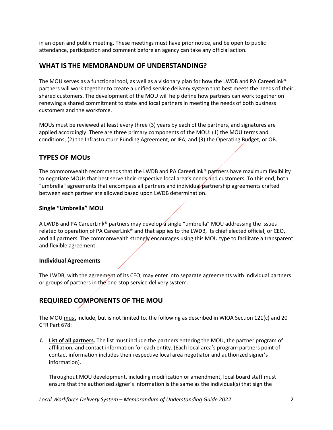in an open and public meeting. These meetings must have prior notice, and be open to public attendance, participation and comment before an agency can take any official action.

# **WHAT IS THE MEMORANDUM OF UNDERSTANDING?**

The MOU serves as a functional tool, as well as a visionary plan for how the LWDB and PA CareerLink® partners will work together to create a unified service delivery system that best meets the needs of their shared customers. The development of the MOU will help define how partners can work together on renewing a shared commitment to state and local partners in meeting the needs of both business customers and the workforce.

MOUs must be reviewed at least every three (3) years by each of the partners, and signatures are applied accordingly. There are three primary components of the MOU: (1) the MOU terms and conditions; (2) the Infrastructure Funding Agreement, or IFA; and (3) the Operating Budget, or OB.

# **TYPES OF MOUs**

The commonwealth recommends that the LWDB and PA CareerLink® partners have maximum flexibility to negotiate MOUs that best serve their respective local area's needs and customers. To this end, both "umbrella" agreements that encompass all partners and individual partnership agreements crafted between each partner are allowed based upon LWDB determination.

# **Single "Umbrella" MOU**

A LWDB and PA CareerLink<sup>®</sup> partners may develop a single "umbrella" MOU addressing the issues related to operation of PA CareerLink® and that applies to the LWDB, its chief elected official, or CEO, and all partners. The commonwealth strongly encourages using this MOU type to facilitate a transparent and flexible agreement.

### **Individual Agreements**

The LWDB, with the agreement of its CEO, may enter into separate agreements with individual partners or groups of partners in the one-stop service delivery system.

# **REQUIRED COMPONENTS OF THE MOU**

The MOU must include, but is not limited to, the following as described in WIOA Section 121(c) and 20 CFR Part 678:

*1.* **List of all partners***.* The list must include the partners entering the MOU, the partner program of affiliation, and contact information for each entity. (Each local area's program partners point of contact information includes their respective local area negotiator and authorized signer's information).

Throughout MOU development, including modification or amendment, local board staff must ensure that the authorized signer's information is the same as the individual(s) that sign the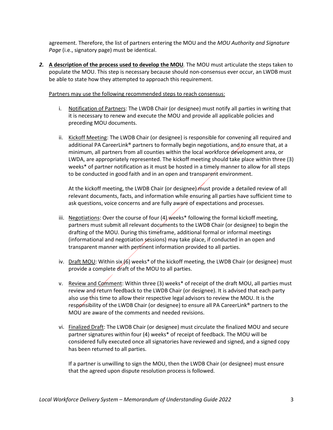agreement. Therefore, the list of partners entering the MOU and the *MOU Authority and Signature Page* (i.e., signatory page) must be identical.

*2.* **A description of the process used to develop the MOU***.* The MOU must articulate the steps taken to populate the MOU. This step is necessary because should non-consensus ever occur, an LWDB must be able to state how they attempted to approach this requirement.

Partners may use the following recommended steps to reach consensus:

- i. Notification of Partners: The LWDB Chair (or designee) must notify all parties in writing that it is necessary to renew and execute the MOU and provide all applicable policies and preceding MOU documents.
- ii. Kickoff Meeting: The LWDB Chair (or designee) is responsible for convening all required and additional PA CareerLink® partners to formally begin negotiations, and to ensure that, at a minimum, all partners from all counties within the local workforce development area, or LWDA, are appropriately represented. The kickoff meeting should take place within three (3) weeks\* of partner notification as it must be hosted in a timely manner to allow for all steps to be conducted in good faith and in an open and transparent environment.

At the kickoff meeting, the LWDB Chair (or designee) must provide a detailed review of all relevant documents, facts, and information while ensuring all parties have sufficient time to ask questions, voice concerns and are fully aware of expectations and processes.

- iii. Negotiations: Over the course of four (4) weeks\* following the formal kickoff meeting, partners must submit all relevant documents to the LWDB Chair (or designee) to begin the drafting of the MOU. During this timeframe, additional formal or informal meetings (informational and negotiation sessions) may take place, if conducted in an open and transparent manner with pertinent information provided to all parties.
- iv. Draft MOU: Within six  $(6)$  weeks\* of the kickoff meeting, the LWDB Chair (or designee) must provide a complete draft of the MOU to all parties.
- v. Review and Comment: Within three (3) weeks\* of receipt of the draft MOU, all parties must review and return feedback to the LWDB Chair (or designee). It is advised that each party also use this time to allow their respective legal advisors to review the MOU. It is the responsibility of the LWDB Chair (or designee) to ensure all PA CareerLink® partners to the MOU are aware of the comments and needed revisions.
- vi. Finalized Draft: The LWDB Chair (or designee) must circulate the finalized MOU and secure partner signatures within four (4) weeks\* of receipt of feedback. The MOU will be considered fully executed once all signatories have reviewed and signed, and a signed copy has been returned to all parties.

If a partner is unwilling to sign the MOU, then the LWDB Chair (or designee) must ensure that the agreed upon dispute resolution process is followed.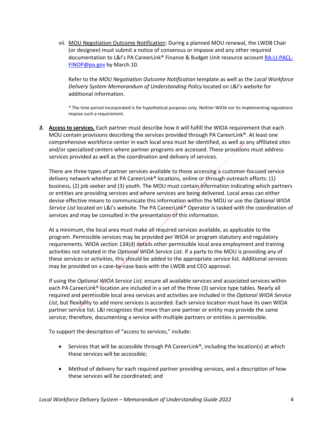vii. MOU Negotiation Outcome Notification: During a planned MOU renewal, the LWDB Chair (or designee) must submit a notice of consensus or impasse and any other required documentation to L&I's PA CareerLink® Finance & Budget Unit resource accoun[t RA-LI-PACL-](mailto:RA-LI-PACL-FINOP@pa.gov)[FINOP@pa.gov](mailto:RA-LI-PACL-FINOP@pa.gov) by March 10.

Refer to the *MOU Negotiation Outcome Notification* template as well as the *Local Workforce Delivery System Memorandum of Understanding Policy* located on L&I's website for additional information.

\* The time period incorporated is for hypothetical purposes only. Neither WIOA nor its implementing regulations impose such a requirement.

*3.* **Access to services.** Each partner must describe how it will fulfill the WIOA requirement that each MOU contain provisions describing the services provided through PA CareerLink®. At least one comprehensive workforce center in each local area must be identified, as well as any affiliated sites and/or specialized centers where partner programs are accessed. These provisions must address services provided as well as the coordination and delivery of services.

There are three types of partner services available to those accessing a customer-focused service delivery network whether at PA CareerLink® locations, online or through outreach efforts: (1) business, (2) job seeker and (3) youth. The MOU must contain information indicating which partners or entities are providing services and where services are being delivered. Local areas can either devise effective means to communicate this information within the MOU or use the *Optional WIOA Service List* located on L&I's website. The PA CareerLink® Operator is tasked with the coordination of services and may be consulted in the presentation of this information.

At a minimum, the local area must make all required services available, as applicable to the program. Permissible services may be provided per WIOA or program statutory and regulatory requirements. WIOA section 134(d) details other permissible local area employment and training activities not notated in the *Optional WIOA Service List*. If a party to the MOU is providing any of these services or activities, this should be added to the appropriate service list. Additional services may be provided on a case-by-case basis with the LWDB and CEO approval.

If using the *Optional WIOA Service List,* ensure all available services and associated services within each PA CareerLink® location are included in a set of the three (3) service type tables. Nearly all required and permissible local area services and activities are included in the *Optional WIOA Service List*, but flexibility to add more services is accorded. Each service location must have its own WIOA partner service list. L&I recognizes that more than one partner or entity may provide the same service; therefore, documenting a service with multiple partners or entities is permissible.

To support the description of "access to services," include:

- Services that will be accessible through PA CareerLink®, including the location(s) at which these services will be accessible;
- Method of delivery for each required partner providing services, and a description of how these services will be coordinated; and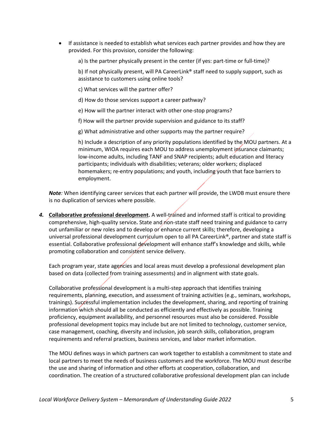- If assistance is needed to establish what services each partner provides and how they are provided. For this provision, consider the following:
	- a) Is the partner physically present in the center (if yes: part-time or full-time)?

b) If not physically present, will PA CareerLink® staff need to supply support, such as assistance to customers using online tools?

- c) What services will the partner offer?
- d) How do those services support a career pathway?
- e) How will the partner interact with other one-stop programs?
- f) How will the partner provide supervision and guidance to its staff?
- g) What administrative and other supports may the partner require?

h) Include a description of any priority populations identified by the MOU partners. At a minimum, WIOA requires each MOU to address unemployment insurance claimants; low-income adults, including TANF and SNAP recipients; adult education and literacy participants; individuals with disabilities; veterans; older workers; displaced homemakers; re-entry populations; and youth, including youth that face barriers to employment.

*Note:* When identifying career services that each partner will provide, the LWDB must ensure there is no duplication of services where possible.

4. Collaborative professional development. A well-trained and informed staff is critical to providing comprehensive, high-quality service. State and non-state staff need training and guidance to carry out unfamiliar or new roles and to develop or enhance current skills; therefore, developing a universal professional development curriculum open to all PA CareerLink®, partner and state staff is essential. Collaborative professional development will enhance staff's knowledge and skills, while promoting collaboration and consistent service delivery.

Each program year, state agencies and local areas must develop a professional development plan based on data (collected from training assessments) and in alignment with state goals.

Collaborative professional development is a multi-step approach that identifies training requirements, planning, execution, and assessment of training activities (e.g., seminars, workshops, trainings). Successful implementation includes the development, sharing, and reporting of training information which should all be conducted as efficiently and effectively as possible. Training proficiency, equipment availability, and personnel resources must also be considered. Possible professional development topics may include but are not limited to technology, customer service, case management, coaching, diversity and inclusion, job search skills, collaboration, program requirements and referral practices, business services, and labor market information.

The MOU defines ways in which partners can work together to establish a commitment to state and local partners to meet the needs of business customers and the workforce. The MOU must describe the use and sharing of information and other efforts at cooperation, collaboration, and coordination. The creation of a structured collaborative professional development plan can include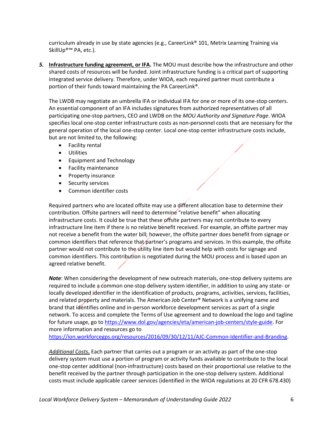curriculum already in use by state agencies (e.g., CareerLink® 101, Metrix Learning Training via SkillUp®™ PA, etc.).

*5.* **Infrastructure funding agreement, or IFA.** The MOU must describe how the infrastructure and other shared costs of resources will be funded. Joint infrastructure funding is a critical part of supporting integrated service delivery. Therefore, under WIOA, each required partner must contribute a portion of their funds toward maintaining the PA CareerLink®.

The LWDB may negotiate an umbrella IFA or individual IFA for one or more of its one-stop centers. An essential component of an IFA includes signatures from authorized representatives of all participating one-stop partners, CEO and LWDB on the *MOU Authority and Signature Page*. WIOA specifies local one-stop center infrastructure costs as non-personnel costs that are necessary for the general operation of the local one-stop center. Local one-stop center infrastructure costs include, but are not limited to, the following:

- Facility rental
- Utilities
- Equipment and Technology
- Facility maintenance
- Property insurance
- Security services
- Common identifier costs

Required partners who are located offsite may use a different allocation base to determine their contribution. Offsite partners will need to determine "relative benefit" when allocating infrastructure costs. It could be true that these offsite partners may not contribute to every infrastructure line item if there is no relative benefit received. For example, an offsite partner may not receive a benefit from the water bill; however, the offsite partner does benefit from signage or common identifiers that reference that partner's programs and services. In this example, the offsite partner would not contribute to the utility line item but would help with costs for signage and common identifiers. This contribution is negotiated during the MOU process and is based upon an agreed relative benefit.

*Note*: When considering the development of new outreach materials, one-stop delivery systems are required to include a common one-stop delivery system identifier, in addition to using any state- or locally developed identifier in the identification of products, programs, activities, services, facilities, and related property and materials. The American Job Center® Network is a unifying name and brand that identifies online and in-person workforce development services as part of a single network. To access and complete the Terms of Use agreement and to download the logo and tagline for future usage, go t[o https://www.dol.gov/agencies/eta/american-job-centers/style-guide.](https://www.dol.gov/agencies/eta/american-job-centers/style-guide) For more information and resources go to

[https://ion.workforcegps.org/resources/2016/09/30/12/11/AJC-Common-Identifier-and-Branding.](https://ion.workforcegps.org/resources/2016/09/30/12/11/AJC-Common-Identifier-and-Branding)

*Additional Costs***.** Each partner that carries out a program or an activity as part of the one-stop delivery system must use a portion of program or activity funds available to contribute to the local one-stop center additional (non-infrastructure) costs based on their proportional use relative to the benefit received by the partner through participation in the one-stop delivery system. Additional costs must include applicable career services (identified in the WIOA regulations at 20 CFR 678.430)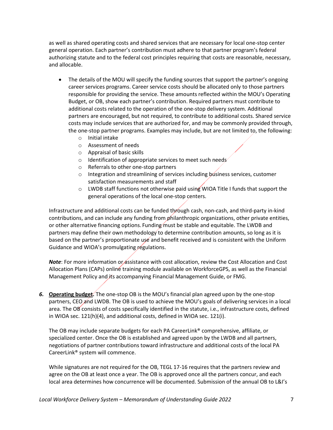as well as shared operating costs and shared services that are necessary for local one-stop center general operation. Each partner's contribution must adhere to that partner program's federal authorizing statute and to the federal cost principles requiring that costs are reasonable, necessary, and allocable.

- The details of the MOU will specify the funding sources that support the partner's ongoing career services programs. Career service costs should be allocated only to those partners responsible for providing the service. These amounts reflected within the MOU's Operating Budget, or OB, show each partner's contribution. Required partners must contribute to additional costs related to the operation of the one-stop delivery system. Additional partners are encouraged, but not required, to contribute to additional costs. Shared service costs may include services that are authorized for, and may be commonly provided through, the one-stop partner programs. Examples may include, but are not limited to, the following:
	- o Initial intake
	- o Assessment of needs
	- o Appraisal of basic skills
	- o Identification of appropriate services to meet such needs
	- o Referrals to other one-stop partners
	- o Integration and streamlining of services including business services, customer satisfaction measurements and staff
	- $\circ$  LWDB staff functions not otherwise paid using WIOA Title I funds that support the general operations of the local one-stop centers.

Infrastructure and additional costs can be funded through cash, non-cash, and third-party in-kind contributions, and can include any funding from philanthropic organizations, other private entities, or other alternative financing options. Funding must be stable and equitable. The LWDB and partners may define their own methodology to determine contribution amounts, so long as it is based on the partner's proportionate use and benefit received and is consistent with the Uniform Guidance and WIOA's promulgating regulations.

*Note*: For more information or assistance with cost allocation, review the Cost Allocation and Cost Allocation Plans (CAPs) online training module available on WorkforceGPS, as well as the [Financial](https://www.dli.pa.gov/Businesses/Workforce-Development/Pages/Pennsylvania)  [Management Policy](https://www.dli.pa.gov/Businesses/Workforce-Development/Pages/Pennsylvania) and its accompanying Financial Management Guide, or FMG.

*6.* **Operating budget.** The one-stop OB is the MOU's financial plan agreed upon by the one-stop partners, CEO and LWDB. The OB is used to achieve the MOU's goals of delivering services in a local area. The OB consists of costs specifically identified in the statute, i.e., infrastructure costs, defined in WIOA sec. 121(h)(4), and additional costs, defined in WIOA sec. 121(i).

The OB may include separate budgets for each PA CareerLink® comprehensive, affiliate, or specialized center. Once the OB is established and agreed upon by the LWDB and all partners, negotiations of partner contributions toward infrastructure and additional costs of the local PA CareerLink® system will commence.

While signatures are not required for the OB, TEGL 17-16 requires that the partners review and agree on the OB at least once a year. The OB is approved once all the partners concur, and each local area determines how concurrence will be documented. Submission of the annual OB to L&I's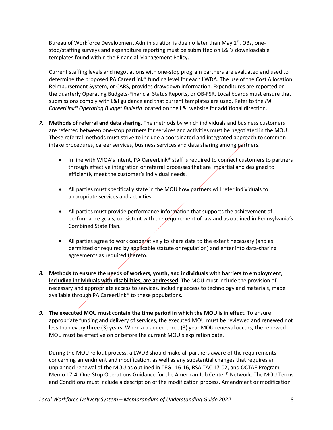Bureau of Workforce Development Administration is due no later than May  $1<sup>st</sup>$ . OBs, onestop/staffing surveys and expenditure reporting must be submitted on L&I's downloadable templates found within th[e Financial Management Policy.](https://www.dli.pa.gov/Businesses/Workforce-Development/Pages/Pennsylvania)

Current staffing levels and negotiations with one-stop program partners are evaluated and used to determine the proposed PA CareerLink® funding level for each LWDA. The use of the Cost Allocation Reimbursement System, or CARS, provides drawdown information. Expenditures are reported on the quarterly Operating Budgets-Financial Status Reports, or OB-FSR. Local boards must ensure that submissions comply with L&I guidance and that current templates are used. Refer to the *PA CareerLink® Operating Budget Bulletin* located on the L&I website for additional direction.

- *7.* **Methods of referral and data sharing**. The methods by which individuals and business customers are referred between one-stop partners for services and activities must be negotiated in the MOU. These referral methods must strive to include a coordinated and integrated approach to common intake procedures, career services, business services and data sharing among partners.
	- In line with WIOA's intent, PA CareerLink® staff is required to connect customers to partners through effective integration or referral processes that are impartial and designed to efficiently meet the customer's individual needs.
	- All parties must specifically state in the MOU how partners will refer individuals to appropriate services and activities.
	- All parties must provide performance information that supports the achievement of performance goals, consistent with the requirement of law and as outlined in Pennsylvania's Combined State Plan.
	- All parties agree to work cooperatively to share data to the extent necessary (and as permitted or required by applicable statute or regulation) and enter into data-sharing agreements as required thereto.
- *8.* **Methods to ensure the needs of workers, youth, and individuals with barriers to employment, including individuals with disabilities, are addressed**. The MOU must include the provision of necessary and appropriate access to services, including access to technology and materials, made available through PA CareerLink® to these populations.
- *9.* **The executed MOU must contain the time period in which the MOU is in effect**. To ensure appropriate funding and delivery of services, the executed MOU must be reviewed and renewed not less than every three (3) years. When a planned three (3) year MOU renewal occurs, the renewed MOU must be effective on or before the current MOU's expiration date.

During the MOU rollout process, a LWDB should make all partners aware of the requirements concerning amendment and modification, as well as any substantial changes that requires an unplanned renewal of the MOU as outlined in TEGL 16-16, RSA TAC 17-02, and OCTAE Program Memo 17-4, One-Stop Operations Guidance for the American Job Center® Network. The MOU Terms and Conditions must include a description of the modification process. Amendment or modification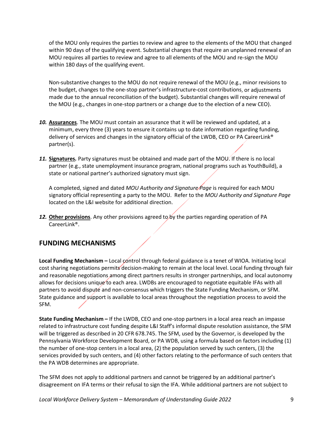of the MOU only requires the parties to review and agree to the elements of the MOU that changed within 90 days of the qualifying event. Substantial changes that require an unplanned renewal of an MOU requires all parties to review and agree to all elements of the MOU and re-sign the MOU within 180 days of the qualifying event.

Non-substantive changes to the MOU do not require renewal of the MOU (e.g., minor revisions to the budget, changes to the one-stop partner's infrastructure-cost contributions, or adjustments made due to the annual reconciliation of the budget). Substantial changes will require renewal of the MOU (e.g., changes in one-stop partners or a change due to the election of a new CEO).

- *10.* **Assurances**. The MOU must contain an assurance that it will be reviewed and updated, at a minimum, every three (3) years to ensure it contains up to date information regarding funding, delivery of services and changes in the signatory official of the LWDB, CEO or PA CareerLink® partner(s).
- *11.* **Signatures***.* Party signatures must be obtained and made part of the MOU. If there is no local partner (e.g., state unemployment insurance program, national programs such as YouthBuild), a state or national partner's authorized signatory must sign.

A completed, signed and dated *MOU Authority and Signature Page* is required for each MOU signatory official representing a party to the MOU. Refer to the *MOU Authority and Signature Page* located on the L&I website for additional direction.

*12.* **Other provisions**. Any other provisions agreed to by the parties regarding operation of PA CareerLink®.

# **FUNDING MECHANISMS**

**Local Funding Mechanism –** Local control through federal guidance is a tenet of WIOA. Initiating local cost sharing negotiations permits decision-making to remain at the local level. Local funding through fair and reasonable negotiations among direct partners results in stronger partnerships, and local autonomy allows for decisions unique to each area. LWDBs are encouraged to negotiate equitable IFAs with all partners to avoid dispute and non-consensus which triggers the State Funding Mechanism, or SFM. State guidance and support is available to local areas throughout the negotiation process to avoid the SFM.

**State Funding Mechanism –** If the LWDB, CEO and one-stop partners in a local area reach an impasse related to infrastructure cost funding despite L&I Staff's informal dispute resolution assistance, the SFM will be triggered as described in 20 CFR 678.745. The SFM, used by the Governor, is developed by the Pennsylvania Workforce Development Board, or PA WDB, using a formula based on factors including (1) the number of one-stop centers in a local area, (2) the population served by such centers, (3) the services provided by such centers, and (4) other factors relating to the performance of such centers that the PA WDB determines are appropriate.

The SFM does not apply to additional partners and cannot be triggered by an additional partner's disagreement on IFA terms or their refusal to sign the IFA. While additional partners are not subject to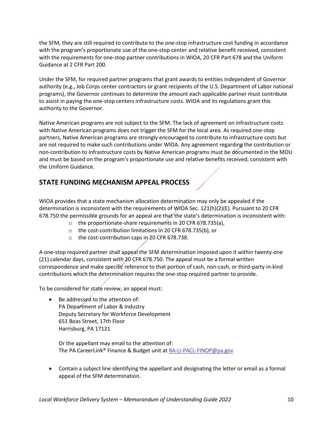the SFM, they are still required to contribute to the one-stop infrastructure cost funding in accordance with the program's proportionate use of the one-stop center and relative benefit received, consistent with the requirements for one-stop partner contributions in WIOA, 20 CFR Part 678 and the Uniform Guidance at 2 CFR Part 200.

Under the SFM, for required partner programs that grant awards to entities independent of Governor authority (e.g., Job Corps center contractors or grant recipients of the U.S. Department of Labor national programs), the Governor continues to determine the amount each applicable partner must contribute to assist in paying the one-stop centers infrastructure costs. WIOA and its regulations grant this authority to the Governor.

Native American programs are not subject to the SFM. The lack of agreement on infrastructure costs with Native American programs does not trigger the SFM for the local area. As required one-stop partners, Native American programs are strongly encouraged to contribute to infrastructure costs but are not required to make such contributions under WIOA. Any agreement regarding the contribution or non-contribution to infrastructure costs by Native American programs must be documented in the MOU and must be based on the program's proportionate use and relative benefits received, consistent with the Uniform Guidance.

# **STATE FUNDING MECHANISM APPEAL PROCESS**

WIOA provides that a state mechanism allocation determination may only be appealed if the determination is inconsistent with the requirements of WIOA Sec. 121(h)(2)(E). Pursuant to 20 CFR 678.750 the permissible grounds for an appeal are that the state's determination is inconsistent with:

- o the proportionate-share requirements in 20 CFR 678.735(a),
- o the cost-contribution limitations in 20 CFR 678.735(b), or
- $\circ$  the cost-contribution caps in 20 CFR 678.738.

A one-stop required partner shall appeal the SFM determination imposed upon it within twenty-one (21) calendar days, consistent with 20 CFR 678.750. The appeal must be a formal written correspondence and make specific reference to that portion of cash, non-cash, or third-party in-kind contributions which the determination requires the one-stop required partner to provide.

To be considered for state review, an appeal must:

Be addressed to the attention of: PA Department of Labor & Industry Deputy Secretary for Workforce Development 651 Boas Street, 17th Floor Harrisburg, PA 17121

Or the appellant may email to the attention of: The PA CareerLink® Finance & Budget unit at [RA-LI-PACL-FINOP@pa.gov](mailto:RA-LI-PACL-FINOP@pa.gov)

• Contain a subject line identifying the appellant and designating the letter or email as a formal appeal of the SFM determination.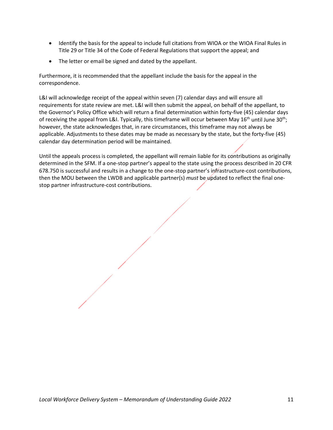- Identify the basis for the appeal to include full citations from WIOA or the WIOA Final Rules in Title 29 or Title 34 of the Code of Federal Regulations that support the appeal; and
- The letter or email be signed and dated by the appellant.

Furthermore, it is recommended that the appellant include the basis for the appeal in the correspondence.

L&I will acknowledge receipt of the appeal within seven (7) calendar days and will ensure all requirements for state review are met. L&I will then submit the appeal, on behalf of the appellant, to the Governor's Policy Office which will return a final determination within forty-five (45) calendar days of receiving the appeal from L&I. Typically, this timeframe will occur between May 16<sup>th</sup> until June 30<sup>th</sup>; however, the state acknowledges that, in rare circumstances, this timeframe may not always be applicable. Adjustments to these dates may be made as necessary by the state, but the forty-five (45) calendar day determination period will be maintained.

Until the appeals process is completed, the appellant will remain liable for its contributions as originally determined in the SFM. If a one-stop partner's appeal to the state using the process described in 20 CFR 678.750 is successful and results in a change to the one-stop partner's infrastructure-cost contributions, then the MOU between the LWDB and applicable partner(s) *must* be updated to reflect the final onestop partner infrastructure-cost contributions.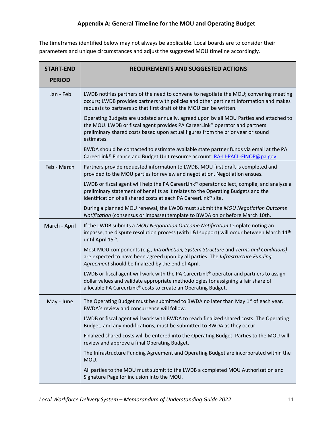The timeframes identified below may not always be applicable. Local boards are to consider their parameters and unique circumstances and adjust the suggested MOU timeline accordingly.

| <b>START-END</b><br><b>PERIOD</b> | <b>REQUIREMENTS AND SUGGESTED ACTIONS</b>                                                                                                                                                                                                                              |  |
|-----------------------------------|------------------------------------------------------------------------------------------------------------------------------------------------------------------------------------------------------------------------------------------------------------------------|--|
| Jan - Feb                         | LWDB notifies partners of the need to convene to negotiate the MOU; convening meeting<br>occurs; LWDB provides partners with policies and other pertinent information and makes<br>requests to partners so that first draft of the MOU can be written.                 |  |
|                                   | Operating Budgets are updated annually, agreed upon by all MOU Parties and attached to<br>the MOU. LWDB or fiscal agent provides PA CareerLink® operator and partners<br>preliminary shared costs based upon actual figures from the prior year or sound<br>estimates. |  |
|                                   | BWDA should be contacted to estimate available state partner funds via email at the PA<br>CareerLink® Finance and Budget Unit resource account: RA-LI-PACL-FINOP@pa.gov.                                                                                               |  |
| Feb - March                       | Partners provide requested information to LWDB. MOU first draft is completed and<br>provided to the MOU parties for review and negotiation. Negotiation ensues.                                                                                                        |  |
|                                   | LWDB or fiscal agent will help the PA CareerLink® operator collect, compile, and analyze a<br>preliminary statement of benefits as it relates to the Operating Budgets and the<br>identification of all shared costs at each PA CareerLink® site.                      |  |
|                                   | During a planned MOU renewal, the LWDB must submit the MOU Negotiation Outcome<br>Notification (consensus or impasse) template to BWDA on or before March 10th.                                                                                                        |  |
| March - April                     | If the LWDB submits a MOU Negotiation Outcome Notification template noting an<br>impasse, the dispute resolution process (with L&I support) will occur between March 11 <sup>th</sup><br>until April 15 <sup>th</sup> .                                                |  |
|                                   | Most MOU components (e.g., Introduction, System Structure and Terms and Conditions)<br>are expected to have been agreed upon by all parties. The Infrastructure Funding<br>Agreement should be finalized by the end of April.                                          |  |
|                                   | LWDB or fiscal agent will work with the PA CareerLink® operator and partners to assign<br>dollar values and validate appropriate methodologies for assigning a fair share of<br>allocable PA CareerLink® costs to create an Operating Budget.                          |  |
| May - June                        | The Operating Budget must be submitted to BWDA no later than May $1st$ of each year.<br>BWDA's review and concurrence will follow.                                                                                                                                     |  |
|                                   | LWDB or fiscal agent will work with BWDA to reach finalized shared costs. The Operating<br>Budget, and any modifications, must be submitted to BWDA as they occur.                                                                                                     |  |
|                                   | Finalized shared costs will be entered into the Operating Budget. Parties to the MOU will<br>review and approve a final Operating Budget.                                                                                                                              |  |
|                                   | The Infrastructure Funding Agreement and Operating Budget are incorporated within the<br>MOU.                                                                                                                                                                          |  |
|                                   | All parties to the MOU must submit to the LWDB a completed MOU Authorization and<br>Signature Page for inclusion into the MOU.                                                                                                                                         |  |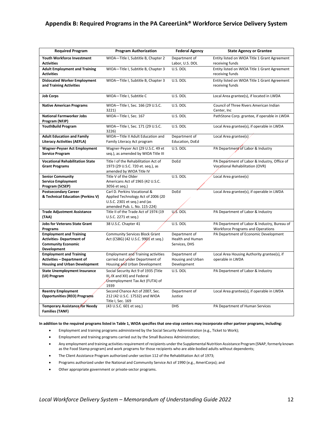#### **Appendix B: Required Programs in the PA CareerLink® Workforce Service Delivery System**

| <b>Required Program</b>                                                                                        | <b>Program Authorization</b>                                                                                                       | <b>Federal Agency</b>                              | <b>State Agency or Grantee</b>                                                           |
|----------------------------------------------------------------------------------------------------------------|------------------------------------------------------------------------------------------------------------------------------------|----------------------------------------------------|------------------------------------------------------------------------------------------|
| Youth Workforce Investment<br><b>Activities</b>                                                                | WIOA-Title I, Subtitle B, Chapter 2                                                                                                | Department of<br>Labor, U.S. DOL                   | Entity listed on WIOA Title 1 Grant Agreement<br>receiving funds                         |
| <b>Adult Employment and Training</b><br><b>Activities</b>                                                      | WIOA-Title I, Subtitle B, Chapter 3                                                                                                | U.S. DOL                                           | Entity listed on WIOA Title 1 Grant Agreement<br>receiving funds                         |
| <b>Dislocated Worker Employment</b><br>and Training Activities                                                 | WIOA-Title I, Subtitle B, Chapter 3                                                                                                | U.S. DOL                                           | Entity listed on WIOA Title 1 Grant Agreement<br>receiving funds                         |
| <b>Job Corps</b>                                                                                               | WIOA-Title I, Subtitle C                                                                                                           | U.S. DOL                                           | Local Area grantee(s), if located in LWDA                                                |
| <b>Native American Programs</b>                                                                                | WIOA-Title I, Sec. 166 (29 U.S.C.<br>3221)                                                                                         | U.S. DOL                                           | Council of Three Rivers American Indian<br>Center, Inc.                                  |
| <b>National Farmworker Jobs</b><br>Program (NFJP)                                                              | WIOA-Title I, Sec. 167                                                                                                             | U.S. DOL                                           | PathStone Corp. grantee, if operable in LWDA                                             |
| <b>YouthBuild Program</b>                                                                                      | WIOA-Title I, Sec. 171 (29 U.S.C.<br>3226)                                                                                         | U.S. DOL                                           | Local Area grantee(s), if operable in LWDA                                               |
| <b>Adult Education and Family</b><br><b>Literacy Activities (AEFLA)</b>                                        | WIOA-Title II Adult Education and<br>Family Literacy Act program                                                                   | Department of<br>Education, DoEd                   | Local Area grantee(s)                                                                    |
| <b>Wagner-Peyser Act Employment</b><br><b>Service Program</b>                                                  | Wagner-Peyser Act (29 U.S.C. 49 et<br>seq.), as amended by WIOA Title III                                                          | U.S. DOL                                           | PA Department of Labor & Industry                                                        |
| <b>Vocational Rehabilitation State</b><br><b>Grant Programs</b>                                                | Title I of the Rehabilitation Act of<br>1973 (29 U.S.C. 720 et. seq.), as<br>amended by WIOA Title IV                              | DoEd                                               | PA Department of Labor & Industry, Office of<br>Vocational Rehabilitation (OVR)          |
| <b>Senior Community</b><br><b>Service Employment</b><br>Program (SCSEP)                                        | Title V of the Older<br>Americans Act of 1965 (42 U.S.C.<br>3056 et seq.)                                                          | U.S. DOL                                           | Local Area grantee(s)                                                                    |
| <b>Postsecondary Career</b><br>& Technical Education (Perkins V)                                               | Carl D. Perkins Vocational &<br>Applied Technology Act of 2006 (20<br>U.S.C. 2301 et seg.) and (as<br>amended Pub. L. No. 115-224) | DoEd                                               | Local Area grantee(s), if operable in LWDA                                               |
| <b>Trade Adjustment Assistance</b><br>(TAA)                                                                    | Title II of the Trade Act of 1974 (19<br>U.S.C. 2271 et seq.)                                                                      | $\mathsf{U}\mathsf{S}$ . DOL                       | PA Department of Labor & Industry                                                        |
| <b>Jobs for Veterans State Grant</b><br>Programs                                                               | 38 U.S.C. Chapter 41                                                                                                               | U.S. DOL                                           | PA Department of Labor & Industry, Bureau of<br><b>Workforce Programs and Operations</b> |
| <b>Employment and Training</b><br><b>Activities- Department of</b><br><b>Community Economic</b><br>Development | <b>Community Services Block Grant</b><br>Act (CSBG) (42 U.S.C. 9901 et seq.)                                                       | Department of<br>Health and Human<br>Services, DHS | PA Department of Economic Development                                                    |
| <b>Employment and Training</b><br><b>Activities - Department of</b><br>Housing and Urban Development           | <b>Employment and Training activities</b><br>carried out under Department of<br>Housing and Urban Development                      | Department of<br>Housing and Urban<br>Development  | Local Area Housing Authority grantee(s), if<br>operable in LWDA                          |
| <b>State Unemployment Insurance</b><br>(UI) Program                                                            | Social Security Act 9 of 1935 (Title<br>III/IX and XII) and Federal<br>Unemployment Tax Act (FUTA) of<br>1939                      | U.S. DOL                                           | PA Department of Labor & Industry                                                        |
| <b>Reentry Employment</b><br><b>Opportunities (REO) Programs</b>                                               | Second Chance Act of 2007, Sec.<br>212 (42 U.S.C. 17532) and WIOA<br>Title I, Sec. 169                                             | Department of<br>Justice                           | Local Area grantee(s), if operable in LWDA                                               |
| Temporary Assistance for Needy<br><b>Families (TANF)</b>                                                       | (43 U.S.C. 601 et seq.)                                                                                                            | <b>DHS</b>                                         | PA Department of Human Services                                                          |

#### **In addition to the required programs listed in Table 1, WIOA specifies that one-stop centers may incorporate other partner programs, including:**

- Employment and training programs administered by the Social Security Administration (e.g., Ticket to Work);
- Employment and training programs carried out by the Small Business Administration;
- Any employment and training activities requirement of recipients under the Supplemental Nutrition Assistance Program (SNAP, formerly known as the Food Stamp program) and work programs for those recipients who are able-bodied adults without dependents;
- The Client Assistance Program authorized under section 112 of the Rehabilitation Act of 1973;
- Programs authorized under the National and Community Service Act of 1990 (e.g., AmeriCorps); and
- Other appropriate government or private-sector programs.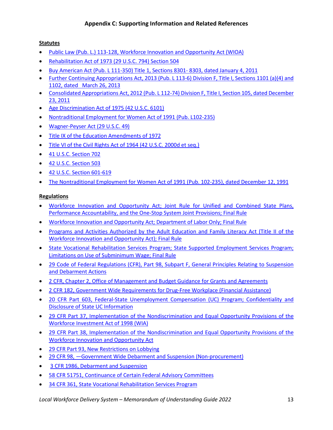# **Appendix C: Supporting Information and Related References**

#### **Statutes**

- [Public Law \(Pub. L.\) 113-128, Workforce Innovation and Opportunity Act \(WIOA\)](https://www.gpo.gov/fdsys/pkg/PLAW-113publ128/pdf/PLAW-113publ128.pdf)
- [Rehabilitation Act of 1973 \(29 U.S.C. 794\) Section 504](http://uscode.house.gov/view.xhtml?req=(title%3A29%20section%3A794%20edition%3Aprelim))
- [Buy American Act \(Pub. L 111-350\) Title 1, Sections 8301-](https://www.gpo.gov/fdsys/pkg/PLAW-111publ350/html/PLAW-111publ350.htm) 8303, dated January 4, 2011
- Further Continuing Appropriations Act, 2013 (Pub. L 113-6) Division F, Title I, Sections 1101 (a)(4) and [1102, dated March 26, 2013](https://www.congress.gov/113/plaws/publ6/PLAW-113publ6.pdf)
- [Consolidated Appropriations Act, 2012 \(Pub. L 112-74\) Division F, Title I, Section 105, dated December](https://www.congress.gov/112/plaws/publ74/PLAW-112publ74.pdf)  [23, 2011](https://www.congress.gov/112/plaws/publ74/PLAW-112publ74.pdf)
- [Age Discrimination Act of 1975 \(42 U.S.C. 6101\)](https://www.dol.gov/oasam/regs/statutes/age_act.htm)
- [Nontraditional Employment for Women Act of 1991 \(Pub. L102-235\)](https://www.govtrack.us/congress/bills/102/s367)
- [Wagner-Peyser Act \(29 U.S.C. 49\)](https://www.doleta.gov/regs/statutes/wag-peys.cfm)
- [Title IX of the Education Amendments of 1972](https://www.dol.gov/agencies/oasam/civil-rights-center/statutes/title-ix)
- [Title VI of the Civil Rights Act of 1964 \(42 U.S.C. 2000d et seq.\)](https://www.justice.gov/crt/fcs/TitleVI-Overview)
- [41 U.S.C. Section 702](https://www.gpo.gov/fdsys/granule/USCODE-2009-title41/USCODE-2009-title41-chap10-sec702)
- [42 U.S.C. Section 503](https://www.ssa.gov/OP_Home/ssact/title03/0303.htm)
- [42 U.S.C. Section 601-619](https://www.govregs.com/uscode/42/601-619)
- [The Nontraditional Employment for Women Act of 1991 \(Pub. 102-235\), dated December 12, 1991](https://www.gpo.gov/fdsys/pkg/STATUTE-105/pdf/STATUTE-105-Pg1806.pdf)

#### **Regulations**

- [Workforce Innovation and Opportunity Act; Joint Rule for Unified and Combined State Plans,](https://www.gpo.gov/fdsys/pkg/FR-2016-08-19/pdf/2016-15977.pdf)  [Performance Accountability, and the One-Stop System Joint Provisions; Final Rule](https://www.gpo.gov/fdsys/pkg/FR-2016-08-19/pdf/2016-15977.pdf)
- [Workforce Innovation and Opportunity Act; Department of Labor Only; Final Rule](https://www.govinfo.gov/content/pkg/FR-2016-08-19/pdf/2016-15975.pdf)
- [Programs and Activities Authorized by the Adult Education and Family Literacy Act \(Title II of the](https://www2.ed.gov/about/offices/list/ovae/pi/AdultEd/wioa-aefla-final-rule.pdf)  [Workforce Innovation and Opportunity Act\); Final Rule](https://www2.ed.gov/about/offices/list/ovae/pi/AdultEd/wioa-aefla-final-rule.pdf)
- [State Vocational Rehabilitation Services Program; State Supported Employment Services Program;](https://www.federalregister.gov/documents/2015/04/16/2015-05538/state-vocational-rehabilitation-services-program-state-supported-employment-services-program)  [Limitations on Use of Subminimum Wage; Final Rule](https://www.federalregister.gov/documents/2015/04/16/2015-05538/state-vocational-rehabilitation-services-program-state-supported-employment-services-program)
- [29 Code of Federal Regulations \(CFR\), Part 98, Subpart F, General Principles Relating to Suspension](https://www.gpo.gov/fdsys/search/pagedetails.action?browsePath=Title+29%2FSubtitle+A%2FPart+98%2FSubpart+F&granuleId=CFR-2004-title29-vol1-part98-subpartF&packageId=CFR-2004-title29-vol1&collapse=true&fromBrowse=true&collectionCode=CFR)  [and Debarment Actions](https://www.gpo.gov/fdsys/search/pagedetails.action?browsePath=Title+29%2FSubtitle+A%2FPart+98%2FSubpart+F&granuleId=CFR-2004-title29-vol1-part98-subpartF&packageId=CFR-2004-title29-vol1&collapse=true&fromBrowse=true&collectionCode=CFR)
- [2 CFR, Chapter 2, Office of Management and Budget Guidance for Grants and Agreements](http://www.ecfr.gov/cgi-bin/text-idx?tpl=/ecfrbrowse/Title02/2cfr200_main_02.tpl)
- [2 CFR 182, Government Wide Requirements for Drug-Free Workplace \(Financial Assistance\)](https://www.govinfo.gov/content/pkg/CFR-2014-title2-vol1/pdf/CFR-2014-title2-vol1-part182.pdf)
- [20 CFR Part 603, Federal-State Unemployment Compensation \(UC\) Program; Confidentiality and](http://www.ecfr.gov/cgi-bin/text-idx?c=ecfr&sid=e94b2dfd6265049fd654439f9f738212&rgn=div5&view=text&node=20:3.0.2.1.4&idno=20)  [Disclosure of State](http://www.ecfr.gov/cgi-bin/text-idx?c=ecfr&sid=e94b2dfd6265049fd654439f9f738212&rgn=div5&view=text&node=20:3.0.2.1.4&idno=20) UC Information
- [29 CFR Part 37, Implementation of the Nondiscrimination and Equal Opportunity Provisions of the](https://www.govinfo.gov/content/pkg/CFR-2011-title29-vol1/pdf/CFR-2011-title29-vol1-part37.pdf)  [Workforce Investment Act of 1998 \(WIA\)](https://www.govinfo.gov/content/pkg/CFR-2011-title29-vol1/pdf/CFR-2011-title29-vol1-part37.pdf)
- [29 CFR Part 38, Implementation of the Nondiscrimination and Equal Opportunity Provisions of the](https://www.gpo.gov/fdsys/search/pagedetails.action?sr=498&originalSearch=&st=design&ps=10&na=&se=&sb=re&timeFrame=&dateBrowse=&govAuthBrowse=&collection=&historical=false&packageId=CFR-2016-title29-vol1&fromState=&bread=true&granuleId=CFR-2016-title29-vol1-part38&collectionCode=CFR&browsePath=Title+29%2FSubtitle+A%2FPart+38&collapse=true&fromBrowse=true)  [Workforce Innovation and Opportunity Act](https://www.gpo.gov/fdsys/search/pagedetails.action?sr=498&originalSearch=&st=design&ps=10&na=&se=&sb=re&timeFrame=&dateBrowse=&govAuthBrowse=&collection=&historical=false&packageId=CFR-2016-title29-vol1&fromState=&bread=true&granuleId=CFR-2016-title29-vol1-part38&collectionCode=CFR&browsePath=Title+29%2FSubtitle+A%2FPart+38&collapse=true&fromBrowse=true)
- [29 CFR Part 93, New Restrictions on Lobbying](https://www.gpo.gov/fdsys/search/pagedetails.action;jsessionid=G8phVJYYSv5pnkCQlW2gt5Vk2TwdwbnPyCFM2fcH2pByRhpjSm44!930041035!-1565408708?browsePath=Title+29%2FSubtitle+A%2FPart+93&granuleId=CFR-2003-title29-vol1-part93&packageId=CFR-2003-title29-vol1&collapse=true&fromBrowse=true)
- 29 CFR 98, –Government Wide Debarment and Suspension (Non-procurement)
- [3 CFR 1986, Debarment](https://www.archives.gov/federal-register/codification/executive-order/12549.html) and Suspension
- [58 CFR 51751, Continuance of Certain Federal Advisory Committees](https://www.whitehouse.gov/the-press-office/2015/09/30/executive-order-continuance-or-reestablishment-certain-federal-advisory)
- [34 CFR 361, State Vocational Rehabilitation Services Program](http://www.ecfr.gov/cgi-bin/text-idx?tpl=/ecfrbrowse/Title34/34cfr361_main_02.tpl)

*Local Workforce Delivery System – Memorandum of Understanding Guide 2022* 13